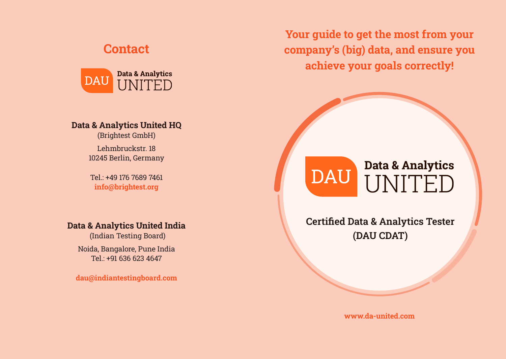## **Contact**



### **Data & Analytics United HQ**

(Brightest GmbH) Lehmbruckstr. 18 10245 Berlin, Germany

Tel.: +49 176 7689 7461 **info@brightest.org**

### **Data & Analytics United India**

(Indian Testing Board) Noida, Bangalore, Pune India Tel.: +91 636 623 4647

**dau@indiantestingboard.com**

**Your guide to get the most from your company's (big) data, and ensure you achieve your goals correctly!**

# **Data & Analytics DAU** UNITED

# **Certified Data & Analytics Tester (DAU CDAT)**

**www.da-united.com**